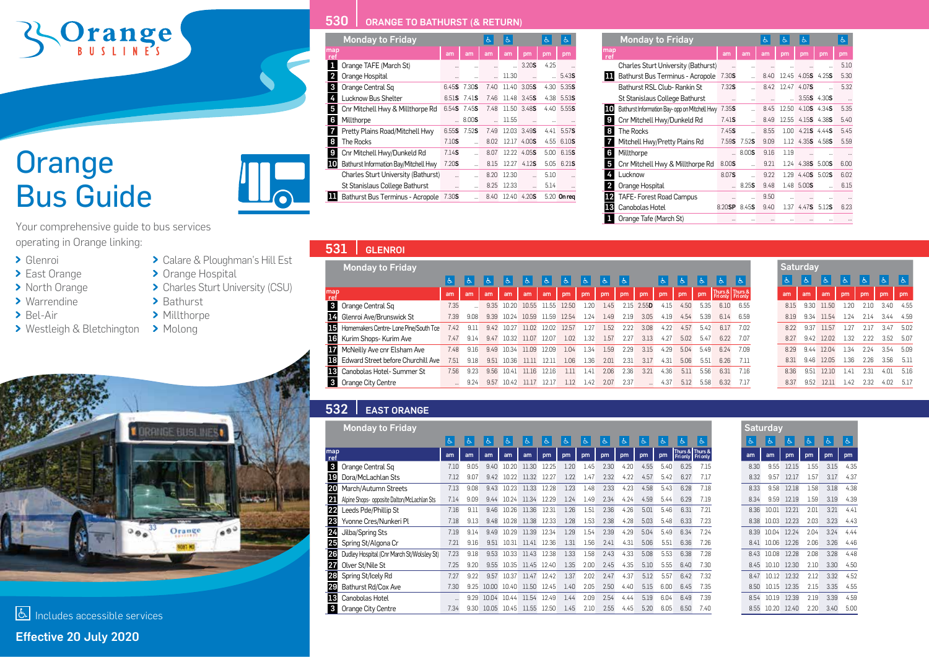# Orange

### **Orange** Bus Guide



- Glenroi
- > East Orange
- > North Orange
- > Warrendine
- > Bel-Air
- Westleigh & Bletchington > Molong



> Calare & Ploughman's Hill Est

> Charles Sturt University (CSU)

> Orange Hospital

> Bathurst > Millthorpe

#### **530 CRANGE TO BATHURST (& RETURN)**

|                         | <b>Monday to Friday</b>               |          |                             | Ġ.                   | Ġ.    |                      | Ġ.   | 占                    |
|-------------------------|---------------------------------------|----------|-----------------------------|----------------------|-------|----------------------|------|----------------------|
| map<br>ret              |                                       | am       | am                          | am                   | am    | pm                   | pm   | pm                   |
| 1                       | Orange TAFE (March St)                |          |                             | $\cdots$             |       | 3.20S                | 4.25 | ä,                   |
| $\overline{\mathbf{c}}$ | Orange Hospital                       |          | $\cdots$                    | $\ddot{\phantom{a}}$ | 11.30 |                      | a.   | 5.435                |
| 3                       | Orange Central Sq                     | 6.45S    | 7.30 <b>S</b>               | 7.40                 | 11.40 | 3.05S                | 4.30 | 5.35S                |
| 4                       | Lucknow Bus Shelter                   | 6.51S    | 7.41S                       | 7.46                 | 11.48 | 3.45S                | 4.38 | 5.53S                |
| 5                       | Cnr Mitchell Hwy & Millthorpe Rd      |          | 6.54 <b>S</b> 7.45 <b>S</b> | 7.48                 | 11.50 | 3.48 <b>S</b>        | 4.40 | 5.55\$               |
| 6                       | Millthorpe                            |          | 8.005                       |                      | 11.55 |                      |      | $\cdots$             |
| 7                       | Pretty Plains Road/Mitchell Hwy       | 6.55S    | 7.52S                       | 7.49                 | 12.03 | 3.49S                | 4.41 | 5.57 <b>S</b>        |
| 8                       | <b>The Rocks</b>                      | 7.10S    |                             | 8.02                 |       | 12.17 4.00 <b>S</b>  | 4.55 | 6.10S                |
| 9                       | Cnr Mitchell Hwy/Dunkeld Rd           | 7.14S    |                             | 8.07                 | 12.22 | 4.05S                | 5.00 | 6.15S                |
| 10                      | Bathurst Information Bay/Mitchell Hwy | 7.20S    | $\sim$                      | 8.15                 | 12.27 | 4.12S                | 5.05 | 6.21S                |
|                         | Charles Sturt University (Bathurst)   | $\cdots$ | $\ddotsc$                   | 8.20                 | 12.30 | $\ddot{\phantom{a}}$ | 5.10 | $\ddot{\phantom{a}}$ |
|                         | St Stanislaus College Bathurst        | $\cdots$ | $\ddot{\phantom{a}}$        | 8.25                 | 12.33 |                      | 5.14 | $\cdots$             |
| 11                      | Bathurst Bus Terminus - Acropole      | 7.30S    | $\ddot{\phantom{a}}$        | 8.40                 | 12.40 | 4.20S                |      | 5.20 On reg          |

|                         | <b>Monday to Friday</b>                       |                      |       | d.       | Ġ.                   | Ġ.                               |                             | 占        |
|-------------------------|-----------------------------------------------|----------------------|-------|----------|----------------------|----------------------------------|-----------------------------|----------|
| map<br>ref              |                                               | am                   | am    | am       | pm                   | pm                               | pm                          | pm       |
|                         | Charles Sturt University (Bathurst)           | $\ddot{\phantom{a}}$ |       | $\cdots$ | $\ddotsc$            | $\cdots$                         | ă.                          | 5.10     |
| ш                       | Bathurst Bus Terminus - Acropole              | 7.30S                |       | 840      | 12.45                | 4.05S                            | 4.25 <b>S</b>               | 5.30     |
|                         | Bathurst RSL Club- Rankin St                  | 7.32S                |       | 8.42     | 12.47                | 4.07S                            |                             | 5.32     |
|                         | St Stanislaus College Bathurst                | $\cdots$             |       |          |                      |                                  | $3.55S$ 4.30S               | $\cdots$ |
| 10                      | Bathurst Information Bay- opp on Mitchell Hwy | 7.35S                |       | 8.45     | 12.50                |                                  | $4.10S$ $4.34S$             | 5.35     |
| 9                       | Cnr Mitchell Hwy/Dunkeld Rd                   | 7.41S                |       | 8.49     | 12.55                | 4.15S                            | 4.385                       | 5.40     |
| 8                       | <b>The Rocks</b>                              | 7.45S                |       | 8.55     | 1.00                 |                                  | 4.21 <b>S</b> 4.44 <b>S</b> | 5.45     |
| 7                       | Mitchell Hwy/Pretty Plains Rd                 | 7.59S                | 7.52S | 9.09     | 1.12                 |                                  | 4.35 <b>S</b> 4.58 <b>S</b> | 5.59     |
| 6                       | Millthorpe                                    |                      | 8.00S | 9.16     | 1.19                 |                                  | $\cdots$                    | $\cdots$ |
| 5                       | Cnr Mitchell Hwy & Millthorpe Rd              | 8.00S                | u.    | 9.21     |                      | 1.24 4.38 <b>S</b> 5.00 <b>S</b> |                             | 6.00     |
| 4                       | Lucknow                                       | 8.07 <b>S</b>        |       | 9.22     | 1.29                 |                                  | 4.40 <b>S</b> 5.02 <b>S</b> | 6.02     |
| $\overline{\mathbf{c}}$ | Orange Hospital                               |                      | 8.25S | 9.48     |                      | 1.48 5.00\$                      |                             | 6.15     |
| 12                      | TAFE-Forest Road Campus                       | $\cdots$             |       | 9.50     | $\ddot{\phantom{a}}$ | $\cdots$                         | $\cdots$                    | $\cdots$ |
| 13                      | Canobolas Hotel                               | 8.20SP               | 8.45S | 9.40     | 1.37                 | 4.47S                            | 5.12S                       | 6.23     |
| 1                       | Orange Tafe (March St)                        | $\cdots$             |       |          | $\cdots$             |                                  |                             | $\cdots$ |

|            | <b>Monday to Friday</b>                      |          |      |      |            |       |       |       |      |      |      |       |      |      |      |                                      |      | <b>Saturday</b> |      |       |      |      |               |      |
|------------|----------------------------------------------|----------|------|------|------------|-------|-------|-------|------|------|------|-------|------|------|------|--------------------------------------|------|-----------------|------|-------|------|------|---------------|------|
|            |                                              |          | Ò.   |      |            |       |       |       |      |      |      |       |      | IФ.  |      |                                      |      |                 |      |       |      |      |               |      |
| map<br>ref |                                              | am       | am   | am   | am         | am    | am    | pm    | pm   | pm   | pm   | pm    | pm   | pm   | pm   | Thurs & Thurs &<br>Fri only Fri only |      | am              | am   | am    | pm   | pm   | <sub>pm</sub> | pm   |
|            | <b>3</b> Orange Central Sq                   | 7.35     |      | 9.35 | 10.20      | 10.55 | 1.55  | 12 5C | .20  | 1.45 | 2.15 | 2.55D | 4.15 | 4.50 | 5.35 | 610                                  | 6.55 | 8.15            | 9.30 | 1150  | 20   | ን 1በ | 340           | 4.55 |
|            | 14 Glenroi Ave/Brunswick St                  | 7.39     | 9.08 | 9.39 | 10.24      | 10.59 | 1.59  | 12.54 | 1.24 | 1.49 | 2.19 | 3.05  | 4.19 | 4.54 | 5.39 | 6.14                                 | 6.59 | 8.19            | 9.34 | 11.54 | .24  | 2.14 | 3.44          | 4.59 |
|            | 15 Homemakers Centre-Lone Pine/South Tce     | 7.42     | 9.11 | 942  | 10.27      | 1102  | 12.02 | 12.57 | 1.27 | 1.52 | 2.22 | 3.08  | 4.22 | 4.57 | 542  | 6.17                                 | 7.02 | 8.22            | 9.37 | 11.57 | 1.27 | 2.17 | 3.47          | 5.02 |
|            | 16 Kurim Shops- Kurim Ave                    | 7.47     | 9.14 | 9.47 | 10.32      | 11.07 | 12.07 | 1.02  | 1.32 | 1.57 | 2.27 | 3.13  | 4.27 | 5.02 | 5.47 | 6.22                                 | 7.07 | 8.27            | 9.42 | 12.02 | 1.32 | 2.22 | 3.52          | 5.07 |
|            | <b>17</b> McNeilly Ave cnr Elsham Ave        | 7.48     | 9.16 | 9.49 | 10.34      | 11.09 | 12.09 | 1.04  | 1.34 | 1.59 | 2.29 | 3.15  | 4.29 | 5.04 | 5.49 | 6.24                                 | 7.09 | 8.29            | 9.44 | 12.04 | 1.34 | 2.24 | 3.54          | 5.09 |
|            | <b>18</b> Edward Street before Churchill Ave | 7.51     | 9.18 | 9.51 | 10.36      | 11 11 | 2.1   | 1.06  | 1.36 | 2.01 | 2.31 | 3.17  | 4.31 | 5.06 | 5.51 | 6.26                                 |      | 8.31            | 9.46 | 12.05 | 1.36 | 2.26 | 3.56          | 5.11 |
|            | 13 Canobolas Hotel-Summer St                 | 7.56     | 9.23 | 9.56 | 1041       | 1116  | 12 16 | 11    | 1.41 | 2.06 | 2.36 | 3.21  | 4.36 | 5.11 | 5.56 | 6.31                                 | 7.16 | 8.36            | 9.51 | 12.10 | 141  | 2.31 | 4.01          | 5.16 |
|            | <b>3</b> Orange City Centre                  | $\cdots$ | 9.24 |      | 9.57 10.42 | 11 17 | 12.17 | 1.12  | 1.42 | 2.07 | 2.37 |       | 4.37 | 5.12 | 5.58 | 6.32                                 | 7.17 | 8.37            | 9.52 | 12.11 | 1.42 | 2.32 | 4.02          | 5.17 |

#### 532 | EAST ORANGE

|              | <b>Monday to Friday</b>                     |                |      |       |          |       |       |      |      |      |      |      |      |                                    |          |
|--------------|---------------------------------------------|----------------|------|-------|----------|-------|-------|------|------|------|------|------|------|------------------------------------|----------|
|              |                                             | $\mathfrak{S}$ | Ġ.   | Ġ.    | $\sigma$ | é.    | 占     | 占    | Ġ.   | 占    | Ġ.   | Ġ.   | Ġ.   | Ġ.                                 | $\sigma$ |
| map<br>ref   |                                             | am             | am   | am    | am       | am    | pm    | pm   | pm   | pm   | pm   | pm   | pm   | Thurs & Thurs &<br><b>Fri only</b> | Fri only |
| $\mathbf{3}$ | Orange Central Sq                           | 7.10           | 9.05 | 9.40  | 10.20    | 11.30 | 12.25 | 1.20 | 1.45 | 2.30 | 4.20 | 4.55 | 5.40 | 6.25                               | 7.15     |
| 19           | Dora/McLachlan Sts                          | 7.12           | 9.07 | 9.42  | 10.22    | 11.32 | 12.27 | 1.22 | 1.47 | 2.32 | 4.22 | 4.57 | 5.42 | 6.27                               | 7.17     |
| 20           | March/Autumn Streets                        | 7.13           | 9.08 | 9.43  | 10.23    | 11.33 | 12.28 | 1.23 | 1.48 | 2.33 | 4.23 | 4.58 | 5.43 | 6.28                               | 7.18     |
| 21           | Alpine Shops- opposite Dalton/McLachlan Sts | 7.14           | 9.09 | 9.44  | 10.24    | 11.34 | 12.29 | 1.24 | 1.49 | 2.34 | 4.24 | 4.59 | 5.44 | 6.29                               | 7.19     |
| 22           | Leeds Pde/Phillip St                        | 7.16           | 9.11 | 9.46  | 10.26    | 11.36 | 12.31 | 1.26 | 1.51 | 2.36 | 4.26 | 5.01 | 5.46 | 6.31                               | 7.21     |
| 23           | Yvonne Cres/Nunkeri Pl                      | 7.18           | 9.13 | 9.48  | 10.28    | 11.38 | 12.33 | 1.28 | 1.53 | 2.38 | 4.28 | 5.03 | 5.48 | 6.33                               | 7.23     |
| 24           | Jilba/Spring Sts                            | 7.19           | 9.14 | 9.49  | 10.29    | 11.39 | 12.34 | 1.29 | 1.54 | 2.39 | 4.29 | 5.04 | 5.49 | 6.34                               | 7.24     |
| 25           | Spring St/Algona Cr                         | 7.21           | 9.16 | 9.51  | 10.31    | 11.41 | 12.36 | 1.31 | 1.56 | 2.41 | 4.31 | 5.06 | 5.51 | 6.36                               | 7.26     |
| 26           | Dudley Hospital (Cnr March St/Wolsley St)   | 7.23           | 9.18 | 9.53  | 10.33    | 11.43 | 12.38 | 1.33 | 1.58 | 2.43 | 4.33 | 5.08 | 5.53 | 6.38                               | 7.28     |
| 27           | Olver St/Nile St                            | 7.25           | 9.20 | 9.55  | 10.35    | 11.45 | 12.40 | 1.35 | 2.00 | 2.45 | 4.35 | 5.10 | 5.55 | 6.40                               | 7.30     |
| 28           | Spring St/Icely Rd                          | 7.27           | 9.22 | 9.57  | 10.37    | 11.47 | 12.42 | 1.37 | 2.02 | 2.47 | 4.37 | 5.12 | 5.57 | 6.42                               | 7.32     |
| 29           | Bathurst Rd/Cox Ave                         | 7.30           | 9.25 | 10.00 | 10.40    | 11.50 | 12.45 | 1.40 | 2.05 | 2.50 | 4.40 | 5.15 | 6.00 | 6.45                               | 7.35     |
| 13           | Canobolas Hotel                             |                | 9.29 | 10.04 | 10.44    | 11.54 | 12.49 | 1.44 | 2.09 | 2.54 | 4.44 | 5.19 | 6.04 | 6.49                               | 7.39     |
| $\mathbf{3}$ | Orange City Centre                          | 7.34           | 9.30 | 10.05 | 10.45    | 11.55 | 12.50 | 1.45 | 2.10 | 2.55 | 4.45 | 5.20 | 6.05 | 6.50                               | 7.40     |

|      | <b>Saturday</b> |       |      |      |      |
|------|-----------------|-------|------|------|------|
| Ġ.   | Ġ.              | s.    | と    | と    | と    |
| am   | am              | рm    | pm   | pm   | pm   |
| 8.30 | 9.55            | 12.15 | 1.55 | 3.15 | 4.35 |
| 8.32 | 9.57            | 12.17 | 1.57 | 3.17 | 4.37 |
| 8.33 | 9.58            | 12.18 | 1.58 | 3.18 | 4.38 |
| 8.34 | 9.59            | 12.19 | 1.59 | 3.19 | 4.39 |
| 8.36 | 10.01           | 1221  | 2.01 | 3.21 | 4.41 |
| 8.38 | 10.03           | 12.23 | 2.03 | 3.23 | 4.43 |
| 8.39 | 10.04           | 12.24 | 2.04 | 3.24 | 444  |
| 8.41 | 10.06           | 12.26 | 2.06 | 3.26 | 4.46 |
| 8.43 | 10.08           | 12.28 | 2.08 | 3.28 | 4.48 |
| 8.45 | 10.10           | 12.30 | 2.10 | 3.30 | 4.50 |
| 8.47 | 10.12           | 12.32 | 2.12 | 3.32 | 4.52 |
| 8.50 | 10.15           | 12.35 | 2.15 | 3.35 | 4.55 |
| 8.54 | 10.19           | 12.39 | 2.19 | 3.39 | 4.59 |
| 8.55 | 10.20           | 12.40 | 2.20 | 3.40 | 5.00 |



Effective 20 July 2020 Includes accessible services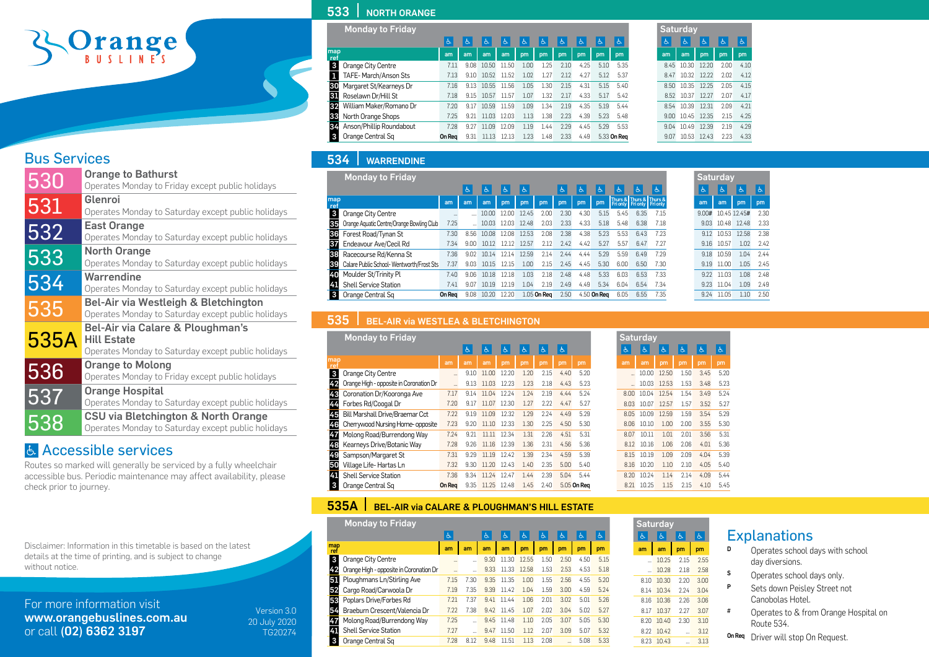## Prange

#### Bus Services

| 530  | <b>Orange to Bathurst</b>                          |
|------|----------------------------------------------------|
|      | Operates Monday to Friday except public holidays   |
| 531  | Glenroi                                            |
|      | Operates Monday to Saturday except public holidays |
|      | East Orange                                        |
| 532  | Operates Monday to Saturday except public holidays |
|      | <b>North Orange</b>                                |
| 533  | Operates Monday to Saturday except public holidays |
|      | Warrendine                                         |
| 534  | Operates Monday to Saturday except public holidays |
|      | Bel-Air via Westleigh & Bletchington               |
| 535  | Operates Monday to Saturday except public holidays |
|      | Bel-Air via Calare & Ploughman's                   |
| 535A | <b>Hill Estate</b>                                 |
|      | Operates Monday to Saturday except public holidays |
| 536  | <b>Orange to Molong</b>                            |
|      | Operates Monday to Friday except public holidays   |
| 537  | <b>Orange Hospital</b>                             |
|      | Operates Monday to Saturday except public holidays |
|      | CSU via Bletchington & North Orange                |
| 538  | Operates Monday to Saturday except public holidays |
|      |                                                    |

#### Accessible services

Routes so marked will generally be serviced by a fully wheelchair accessible bus. Periodic maintenance may affect availability, please check prior to journey.

Disclaimer: Information in this timetable is based on the latest details at the time of printing, and is subject to change without notice.

For more information visit www.orangebuslines.com.au or call (02) 6362 3197

Version 3.0 20 July 2020 TG20274

#### 533 NORTH ORANGE

| <b>Monday to Friday</b>        |        |      |       |       |      |      |      |      |      |             |
|--------------------------------|--------|------|-------|-------|------|------|------|------|------|-------------|
|                                | 占      | Ġ.   | Ġ.    | é.    | 占    | 占    | 占    | Ġ.   | Ġ.   | 占           |
| map<br>ref                     | am     | am   | am    | am    | pm   | pm   | pm   | pm   | pm   | pm          |
| 3<br>Orange City Centre        | 7.11   | 9.08 | 10.50 | 11.50 | 1.00 | 1.25 | 2.10 | 4.25 | 5.10 | 5.35        |
| TAFE-March/Anson Sts<br>1      | 7.13   | 9.10 | 10.52 | 11.52 | 1.02 | 1.27 | 2.12 | 4.27 | 5.12 | 5.37        |
| 30<br>Margaret St/Kearneys Dr  | 7.16   | 9.13 | 10.55 | 11.56 | 1.05 | 1.30 | 2.15 | 4.31 | 5.15 | 5.40        |
| 31<br>Roselawn Dr/Hill St      | 7.18   | 9.15 | 10.57 | 11.57 | 1.07 | 1.32 | 2.17 | 4.33 | 5.17 | 5.42        |
| 32<br>William Maker/Romano Dr  | 7.20   | 9.17 | 10.59 | 11.59 | 1.09 | 1.34 | 2.19 | 4.35 | 5.19 | 5.44        |
| 33<br>North Orange Shops       | 7.25   | 9.21 | 11.03 | 12.03 | 1.13 | 1.38 | 2.23 | 4.39 | 5.23 | 5.48        |
| 34<br>Anson/Phillip Roundabout | 7.28   | 9.27 | 11.09 | 12.09 | 1.19 | 1.44 | 2.29 | 4.45 | 5.29 | 5.53        |
| 3<br>Orange Central Sq         | On Rea | 9.31 | 11.13 | 12.13 | 1.23 | 1.48 | 2.33 | 4.49 |      | 5.33 On Rea |

| <b>Saturday</b> |       |       |      |      |  |  |  |  |  |  |  |  |
|-----------------|-------|-------|------|------|--|--|--|--|--|--|--|--|
| Ġ.              | 占     | 占     | 占    | Ġ.   |  |  |  |  |  |  |  |  |
| am              | am    | pm    | pm   | pm   |  |  |  |  |  |  |  |  |
| 8.45            | 10.30 | 12.20 | 2.00 | 4.10 |  |  |  |  |  |  |  |  |
| 847             | 10.32 | 1222  | 2.02 | 4.12 |  |  |  |  |  |  |  |  |
| 8.50            | 10.35 | 12.25 | 2.05 | 4.15 |  |  |  |  |  |  |  |  |
| 8.52            | 10.37 | 12.27 | 2.07 | 4.17 |  |  |  |  |  |  |  |  |
| 8.54            | 10.39 | 12.31 | 2.09 | 4.21 |  |  |  |  |  |  |  |  |
| 9.00            | 10.45 | 12.35 | 2.15 | 4.25 |  |  |  |  |  |  |  |  |
| 9.04            | 10.49 | 12.39 | 2.19 | 4.29 |  |  |  |  |  |  |  |  |
| 9 N 7           | 10.53 | 12.43 | 223  | 4.33 |  |  |  |  |  |  |  |  |

#### 534 WARRENDINE

| <b>Monday to Friday</b>                         |        |                 |       |       |       |             |      |      |             |      |                                                       |      | Saturda    |      |
|-------------------------------------------------|--------|-----------------|-------|-------|-------|-------------|------|------|-------------|------|-------------------------------------------------------|------|------------|------|
|                                                 |        | Ġ.              | Ġ.    | Ġ.    | ę.    |             | 氐    | Ġ.   | Ò.          | Ğ    |                                                       | 责    | s.         | s.   |
| map<br>ref                                      | am     | am              | am    | pm    | pm    | pm          | pm   | pm   | pm          |      | Thurs & Thurs & Thurs &<br>Fri only Fri only Fri only |      | am         | am   |
| 3<br>Orange City Centre                         | 111    |                 | 10.00 | 1200  | 12.45 | 2.00        | 2.30 | 4.30 | 5.15        | 5.45 | 6.35                                                  | 7.15 | 9.00# 10.4 |      |
| Orange Aquatic Centre/Orange Bowling Club<br>35 | 7.25   |                 | 10.03 | 12.03 | 12.48 | 2.03        | 2.33 | 4.33 | 5.18        | 5.48 | 6.38                                                  | 7.18 | 9.03       | 10.4 |
| 36<br>Forest Road/Tynan St                      | 7.30   | 8.56            | 10.08 | 12.08 | 12.53 | 2.08        | 2.38 | 4.38 | 5.23        | 5.53 | 6.43                                                  | 7.23 | 9.12       | 10.5 |
| 37<br>Endeavour Ave/Cecil Rd                    | 7.34   | 9.00            | 10.12 | 12.12 | 12.57 | 2.12        | 7.47 | 4.42 | 5.27        | 5.57 | 6.47                                                  | 7.27 | 9.16       | 10.5 |
| 38<br>Racecourse Rd/Kenna St                    | 7.36   | 9 N 2           | 10.14 | 1214  | 12.59 | 2.14        | 2.44 | 4.44 | 5.29        | 5.59 | 6.49                                                  | 7.29 | 9.18       | 10.5 |
| Calare Public School-Wentworth/Frost Sts<br>39  | 7.37   | 9.03            | 10.15 | 1215  | 1.00  | 2.15        | 2.45 | 4.45 | 5.30        | 6.00 | 6.50                                                  | 7.30 | 9.19       | 11(  |
| 40<br>Moulder St/Trinity Pl                     | 7.40   | 9.06            | 10.18 | 12.18 | 1.03  | 2.18        | 2.48 | 4.48 | 5.33        | 6.03 | 6.53                                                  | 7.33 | 9.22       | 11(  |
| <b>Shell Service Station</b><br>4               | 7.41   | 9 <sub>07</sub> | 10.19 | 12.19 | 1.04  | 2.19        | 2.49 | 4.49 | 5.34        | 6.04 | 6.54                                                  | 7.34 | 9.23       | 11.0 |
| Orange Central Sq<br>3                          | On Rea | 9.08            | 10.20 | 12.20 |       | 1.05 On Rea | 2.50 |      | 4.50 On Rea | 6.05 | 6.55                                                  | 7.35 | 9.24       | 11.0 |

|       | <b>Saturday</b> |              |      |
|-------|-----------------|--------------|------|
| Ġ.    | Ġ.              | Ġ.           | Á.   |
| am    | am              | pm           | pm   |
| 9.00# |                 | 10.45 12.45# | 2.30 |
| 9.03  | 10.48           | 12.48        | 2.33 |
| 9.12  | 10.53           | 12.58        | 2.38 |
| 9.16  | 10.57           | 1.02         | 242  |
| 9.18  | 10.59           | 1.04         | 244  |
| 9.19  | 11.00           | 1.05         | 2.45 |
| 9.22  | 11.03           | 1.08         | 248  |
| 9.23  | 11.04           | 1.09         | 2.49 |
| 9.24  | 11.05           | 1.10         | 2.50 |

#### 535 | BEL-AIR via WESTLEA & BLETCHINGTON

|            | <b>Monday to Friday</b>                 |                      |      |       |       |      |      |      |             |
|------------|-----------------------------------------|----------------------|------|-------|-------|------|------|------|-------------|
|            |                                         |                      | Ġ.   | Ġ.    | Ġ.    | 占    | 占    | と    |             |
| map<br>ref |                                         | am                   | am   | am    | pm    | pm   | pm   | pm   | pm          |
| 3          | Orange City Centre                      | $\cdots$             | 9.10 | 11.00 | 12.20 | 1.20 | 2.15 | 4.40 | 5.20        |
| 42         | Orange High - opposite in Coronation Dr | $\ddot{\phantom{a}}$ | 9.13 | 11.03 | 12.23 | 1.23 | 2.18 | 4.43 | 5.23        |
| 43         | Coronation Dr/Kooronga Ave              | 7.17                 | 9.14 | 11.04 | 12.24 | 1.24 | 2.19 | 4.44 | 5.24        |
| 44         | Forbes Rd/Coogal Dr                     | 7.20                 | 9.17 | 11.07 | 12.30 | 1.27 | 2.22 | 4.47 | 5.27        |
| 45         | Bill Marshall Drive/Braemar Cct         | 7.22                 | 9.19 | 11.09 | 12.32 | 1.29 | 2.24 | 4.49 | 5.29        |
| 46         | Cherrywood Nursing Home-opposite        | 7.23                 | 9.20 | 11.10 | 12.33 | 1.30 | 2.25 | 4.50 | 5.30        |
| 47         | Molong Road/Burrendong Way              | 7.24                 | 9.21 | 11.11 | 12.34 | 1.31 | 2.26 | 4.51 | 5.31        |
| 48         | Kearneys Drive/Botanic Way              | 7.28                 | 9.26 | 11.16 | 12.39 | 1.36 | 2.31 | 4.56 | 5.36        |
| 49         | Sampson/Margaret St                     | 7.31                 | 9.29 | 11.19 | 12.42 | 1.39 | 2.34 | 4.59 | 5.39        |
| 50         | Village Life-Hartas Ln                  | 7.32                 | 9.30 | 11.20 | 12.43 | 1.40 | 2.35 | 5.00 | 5.40        |
| 41         | <b>Shell Service Station</b>            | 7.36                 | 9.34 | 11.24 | 12.47 | 1.44 | 2.39 | 5.04 | 5.44        |
| 3          | Orange Central Sq                       | On Rea               | 9.35 | 11.25 | 12.48 | 1.45 | 2.40 |      | 5.05 On Rea |

| Saturday |       |       |      |                |                           |  |  |  |  |  |  |  |
|----------|-------|-------|------|----------------|---------------------------|--|--|--|--|--|--|--|
| Ġ.       | 占     | 占     | 占    | $\overline{6}$ | $\overline{\mathfrak{b}}$ |  |  |  |  |  |  |  |
| am       | am    | pm    | pm   | pm             | pm                        |  |  |  |  |  |  |  |
|          | 10.00 | 12.50 | 1.50 | 3.45           | 5.20                      |  |  |  |  |  |  |  |
|          | 10.03 | 12.53 | 1.53 | 3.48           | 5.23                      |  |  |  |  |  |  |  |
| 8.00     | 10.04 | 12.54 | 1.54 | 3.49           | 5.24                      |  |  |  |  |  |  |  |
| 8.03     | 10.07 | 12.57 | 1.57 | 3.52           | 5.27                      |  |  |  |  |  |  |  |
| 8.05     | 10.09 | 12.59 | 1.59 | 3.54           | 5.29                      |  |  |  |  |  |  |  |
| 8.06     | 10.10 | 1.00  | 2.00 | 3.55           | 5.30                      |  |  |  |  |  |  |  |
| 8.07     | 10.11 | 1.01  | 2.01 | 3.56           | 5.31                      |  |  |  |  |  |  |  |
| 8.12     | 10.16 | 1.06  | 2.06 | 4.01           | 5.36                      |  |  |  |  |  |  |  |
| 8.15     | 10.19 | 1.09  | 2.09 | 4.04           | 5.39                      |  |  |  |  |  |  |  |
| 8.16     | 10.20 | 1.10  | 2.10 | 4.05           | 5.40                      |  |  |  |  |  |  |  |
| 8.20     | 10.24 | 1.14  | 2.14 | 4.09           | 5.44                      |  |  |  |  |  |  |  |
| 8.21     | 10.25 | 1.15  | 2.15 | 4.10           | 5.45                      |  |  |  |  |  |  |  |

#### **535A** BEL-AIR via CALARE & PLOUGHMAN'S HILL ESTATE

|            | <b>Monday to Friday</b>                 |      |      |      |       |       |      |                      |      |      |
|------------|-----------------------------------------|------|------|------|-------|-------|------|----------------------|------|------|
|            |                                         | ė.   |      | ė.   | é.    | Ġ.    | Ġ,   | Ġ.                   | Ġ.   | Ġ.   |
| map<br>ref |                                         | am   | am   | am   | am    | pm    | pm   | pm                   | pm   | pm   |
| 3          | Orange City Centre                      |      |      | 9.30 | 11.30 | 12.55 | 1.50 | 2.50                 | 4.50 | 5.15 |
| 42         | Orange High - opposite in Coronation Dr |      |      | 9.33 | 11.33 | 12.58 | 1.53 | 2.53                 | 4.53 | 5.18 |
| 51         | Ploughmans Ln/Stirling Ave              | 7.15 | 7.30 | 9.35 | 11.35 | 1.00  | 1.55 | 2.56                 | 4.55 | 5.20 |
| 52         | Cargo Road/Carwoola Dr                  | 7.19 | 7.35 | 9.39 | 1142  | 1.04  | 1.59 | 3.00                 | 4.59 | 5.24 |
| 53         | Poplars Drive/Forbes Rd                 | 7.21 | 7.37 | 9.41 | 11 44 | 1.06  | 2.01 | 3.02                 | 5.01 | 5.26 |
| 5          | Braeburn Crescent/Valencia Dr           | 7.22 | 7.38 | 9.42 | 11.45 | 1.07  | 2.02 | 3.04                 | 5.02 | 5.27 |
| 47         | Molong Road/Burrendong Way              | 7.25 |      | 9.45 | 11.48 | 1.10  | 2.05 | 3.07                 | 5.05 | 5.30 |
| 41         | <b>Shell Service Station</b>            | 7.27 |      | 9.47 | 11.50 | 1.12  | 2.07 | 3.09                 | 5.07 | 5.32 |
| 3          | Orange Central Sq                       | 7.28 | 8.12 | 9.48 | 11.51 | 1.13  | 2.08 | $\ddot{\phantom{a}}$ | 5.08 | 5.33 |

|      | <b>Saturday</b> |              |      |
|------|-----------------|--------------|------|
| 占    | 占               | Ġ.           | Ġ.   |
| am   | am              | pm           | pm   |
|      | 10.25           | 2.15         | 2.55 |
|      | 10.28           | 2.18         | 2.58 |
| 8.10 | 10.30 2.20      |              | 3.00 |
| 8.14 | 10.34           | 2.24         | 3.04 |
|      | 8.16 10.36      | 2.26         | 3.06 |
|      | 8.17 10.37      | 2.27         | 3.07 |
| 8.20 | 10.40           | 2.30         | 3.10 |
|      | 8.22 10.42      |              | 3.12 |
|      | 8.23 10.43      | <b>ALC 1</b> | 3.13 |

#### **Explanations**

- Operates school days with school day diversions.
- Operates school days only.
- Sets down Peisley Street not Canobolas Hotel.
- Operates to & from Orange Hospital on Route 534.
- On Req Driver will stop On Request.